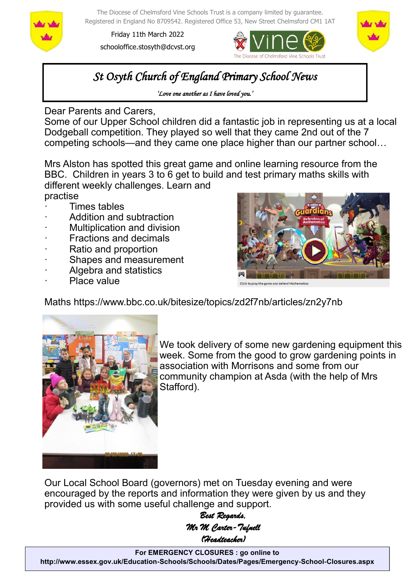

The Diocese of Chelmsford Vine Schools Trust is a company limited by guarantee. Registered in England No 8709542. Registered Office 53, New Street Chelmsford CM1 1AT

Friday 11th March 2022 schooloffice.stosyth@dcvst.org





# *St Osyth Church of England Primary School News*

*'Love one another as I have loved you.'* 

Dear Parents and Carers,

Some of our Upper School children did a fantastic job in representing us at a local Dodgeball competition. They played so well that they came 2nd out of the 7 competing schools—and they came one place higher than our partner school…

Mrs Alston has spotted this great game and online learning resource from the BBC. Children in years 3 to 6 get to build and test primary maths skills with different weekly challenges. Learn and practise

- · Times tables
- Addition and subtraction
- Multiplication and division
- **Fractions and decimals**
- Ratio and proportion
- Shapes and measurement
- Algebra and statistics
- Place value



Click to play the game and defend Mathemati

Maths https://www.bbc.co.uk/bitesize/topics/zd2f7nb/articles/zn2y7nb



We took delivery of some new gardening equipment this week. Some from the good to grow gardening points in association with Morrisons and some from our community champion at Asda (with the help of Mrs Stafford).

Our Local School Board (governors) met on Tuesday evening and were encouraged by the reports and information they were given by us and they provided us with some useful challenge and support.

> *Best Regards, Mr M Carter-Tufnell (Headteacher)*

**For EMERGENCY CLOSURES : go online to http://www.essex.gov.uk/Education-Schools/Schools/Dates/Pages/Emergency-School-Closures.aspx**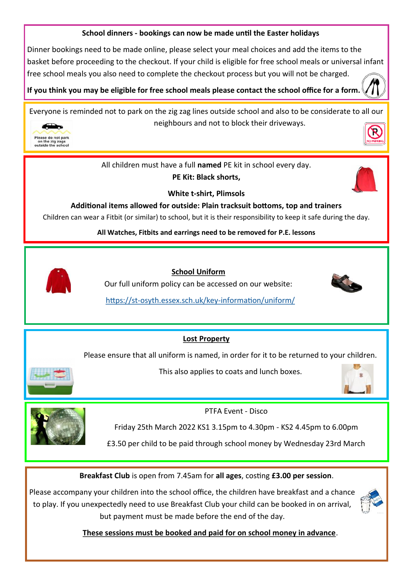### **School dinners - bookings can now be made until the Easter holidays**

Dinner bookings need to be made online, please select your meal choices and add the items to the basket before proceeding to the checkout. If your child is eligible for free school meals or universal infant free school meals you also need to complete the checkout process but you will not be charged.

**If you think you may be eligible for free school meals please contact the school office for a form.** 

Everyone is reminded not to park on the zig zag lines outside school and also to be considerate to all our neighbours and not to block their driveways.



All children must have a full **named** PE kit in school every day. **PE Kit: Black shorts,** 



**White t-shirt, Plimsols**

**Additional items allowed for outside: Plain tracksuit bottoms, top and trainers**

Children can wear a Fitbit (or similar) to school, but it is their responsibility to keep it safe during the day.

**All Watches, Fitbits and earrings need to be removed for P.E. lessons**



 **School Uniform**

Our full uniform policy can be accessed on our website:



https://st-[osyth.essex.sch.uk/key](https://st-osyth.essex.sch.uk/key-information/uniform/)-information/uniform/

### **Lost Property**

Please ensure that all uniform is named, in order for it to be returned to your children.



This also applies to coats and lunch boxes.





PTFA Event - Disco

Friday 25th March 2022 KS1 3.15pm to 4.30pm - KS2 4.45pm to 6.00pm

£3.50 per child to be paid through school money by Wednesday 23rd March

**Breakfast Club** is open from 7.45am for **all ages**, costing **£3.00 per session**.

Please accompany your children into the school office, the children have breakfast and a chance to play. If you unexpectedly need to use Breakfast Club your child can be booked in on arrival, but payment must be made before the end of the day.



 **These sessions must be booked and paid for on school money in advance**.